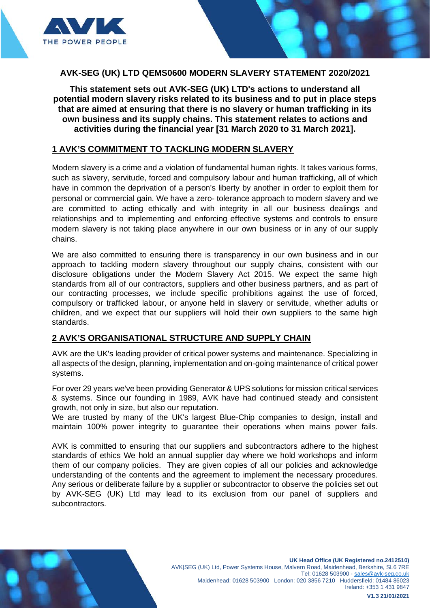

**This statement sets out AVK-SEG (UK) LTD's actions to understand all potential modern slavery risks related to its business and to put in place steps that are aimed at ensuring that there is no slavery or human trafficking in its own business and its supply chains. This statement relates to actions and activities during the financial year [31 March 2020 to 31 March 2021].**

### **1 AVK'S COMMITMENT TO TACKLING MODERN SLAVERY**

Modern slavery is a crime and a violation of fundamental human rights. It takes various forms, such as slavery, servitude, forced and compulsory labour and human trafficking, all of which have in common the deprivation of a person's liberty by another in order to exploit them for personal or commercial gain. We have a zero- tolerance approach to modern slavery and we are committed to acting ethically and with integrity in all our business dealings and relationships and to implementing and enforcing effective systems and controls to ensure modern slavery is not taking place anywhere in our own business or in any of our supply chains.

We are also committed to ensuring there is transparency in our own business and in our approach to tackling modern slavery throughout our supply chains, consistent with our disclosure obligations under the Modern Slavery Act 2015. We expect the same high standards from all of our contractors, suppliers and other business partners, and as part of our contracting processes, we include specific prohibitions against the use of forced, compulsory or trafficked labour, or anyone held in slavery or servitude, whether adults or children, and we expect that our suppliers will hold their own suppliers to the same high standards.

## **2 AVK'S ORGANISATIONAL STRUCTURE AND SUPPLY CHAIN**

AVK are the UK's leading provider of critical power systems and maintenance. Specializing in all aspects of the design, planning, implementation and on-going maintenance of critical power systems.

For over 29 years we've been providing Generator & UPS solutions for mission critical services & systems. Since our founding in 1989, AVK have had continued steady and consistent growth, not only in size, but also our reputation.

We are trusted by many of the UK's largest Blue-Chip companies to design, install and maintain 100% power integrity to guarantee their operations when mains power fails.

AVK is committed to ensuring that our suppliers and subcontractors adhere to the highest standards of ethics We hold an annual supplier day where we hold workshops and inform them of our company policies. They are given copies of all our policies and acknowledge understanding of the contents and the agreement to implement the necessary procedures. Any serious or deliberate failure by a supplier or subcontractor to observe the policies set out by AVK-SEG (UK) Ltd may lead to its exclusion from our panel of suppliers and subcontractors.

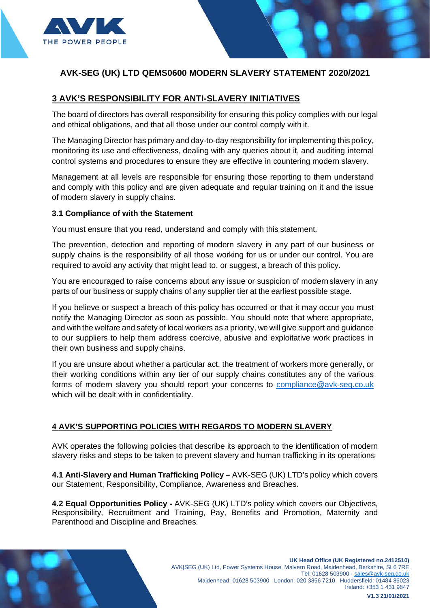

## **3 AVK'S RESPONSIBILITY FOR ANTI-SLAVERY INITIATIVES**

The board of directors has overall responsibility for ensuring this policy complies with our legal and ethical obligations, and that all those under our control comply with it.

The Managing Director has primary and day-to-day responsibility for implementing this policy, monitoring its use and effectiveness, dealing with any queries about it, and auditing internal control systems and procedures to ensure they are effective in countering modern slavery.

Management at all levels are responsible for ensuring those reporting to them understand and comply with this policy and are given adequate and regular training on it and the issue of modern slavery in supply chains.

#### **3.1 Compliance of with the Statement**

You must ensure that you read, understand and comply with this statement.

The prevention, detection and reporting of modern slavery in any part of our business or supply chains is the responsibility of all those working for us or under our control. You are required to avoid any activity that might lead to, or suggest, a breach of this policy.

You are encouraged to raise concerns about any issue or suspicion of modern slavery in any parts of our business or supply chains of any supplier tier at the earliest possible stage.

If you believe or suspect a breach of this policy has occurred or that it may occur you must notify the Managing Director as soon as possible. You should note that where appropriate, and with the welfare and safety of local workers as a priority, we will give support and guidance to our suppliers to help them address coercive, abusive and exploitative work practices in their own business and supply chains.

If you are unsure about whether a particular act, the treatment of workers more generally, or their working conditions within any tier of our supply chains constitutes any of the various forms of modern slavery you should report your concerns to [compliance@avk-seg.co.uk](mailto:compliance@avk-seg.co.uk) which will be dealt with in confidentiality.

#### **4 AVK'S SUPPORTING POLICIES WITH REGARDS TO MODERN SLAVERY**

AVK operates the following policies that describe its approach to the identification of modern slavery risks and steps to be taken to prevent slavery and human trafficking in its operations

**4.1 Anti-Slavery and Human Trafficking Policy –** AVK-SEG (UK) LTD's policy which covers our Statement, Responsibility, Compliance, Awareness and Breaches.

**4.2 Equal Opportunities Policy -** AVK-SEG (UK) LTD's policy which covers our Objectives, Responsibility, Recruitment and Training, Pay, Benefits and Promotion, Maternity and Parenthood and Discipline and Breaches.

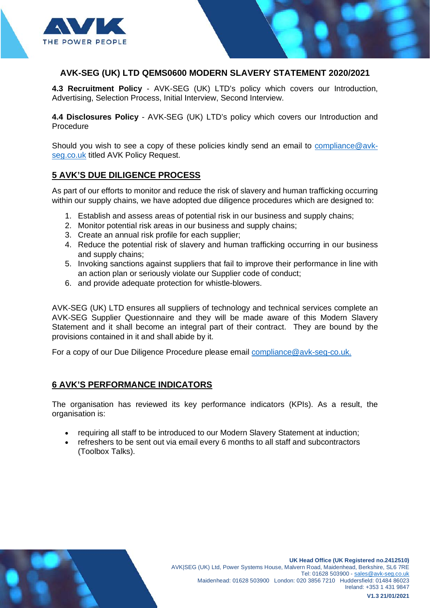

**4.3 Recruitment Policy** - AVK-SEG (UK) LTD's policy which covers our Introduction, Advertising, Selection Process, Initial Interview, Second Interview.

**4.4 Disclosures Policy** - AVK-SEG (UK) LTD's policy which covers our Introduction and Procedure

Should you wish to see a copy of these policies kindly send an email to [compliance@avk](mailto:alisha.kellmann@avk-seg.co.uk)[seg.co.uk](mailto:alisha.kellmann@avk-seg.co.uk) titled AVK Policy Request.

## **5 AVK'S DUE DILIGENCE PROCESS**

As part of our efforts to monitor and reduce the risk of slavery and human trafficking occurring within our supply chains, we have adopted due diligence procedures which are designed to:

- 1. Establish and assess areas of potential risk in our business and supply chains;
- 2. Monitor potential risk areas in our business and supply chains;
- 3. Create an annual risk profile for each supplier;
- 4. Reduce the potential risk of slavery and human trafficking occurring in our business and supply chains;
- 5. Invoking sanctions against suppliers that fail to improve their performance in line with an action plan or seriously violate our Supplier code of conduct;
- 6. and provide adequate protection for whistle-blowers.

AVK-SEG (UK) LTD ensures all suppliers of technology and technical services complete an AVK-SEG Supplier Questionnaire and they will be made aware of this Modern Slavery Statement and it shall become an integral part of their contract. They are bound by the provisions contained in it and shall abide by it.

For a copy of our Due Diligence Procedure please email [compliance@avk-seg-co.uk.](mailto:Alisha.kellmann@avk-seg-co.uk)

## **6 AVK'S PERFORMANCE INDICATORS**

The organisation has reviewed its key performance indicators (KPIs). As a result, the organisation is:

- requiring all staff to be introduced to our Modern Slavery Statement at induction;
- refreshers to be sent out via email every 6 months to all staff and subcontractors (Toolbox Talks).